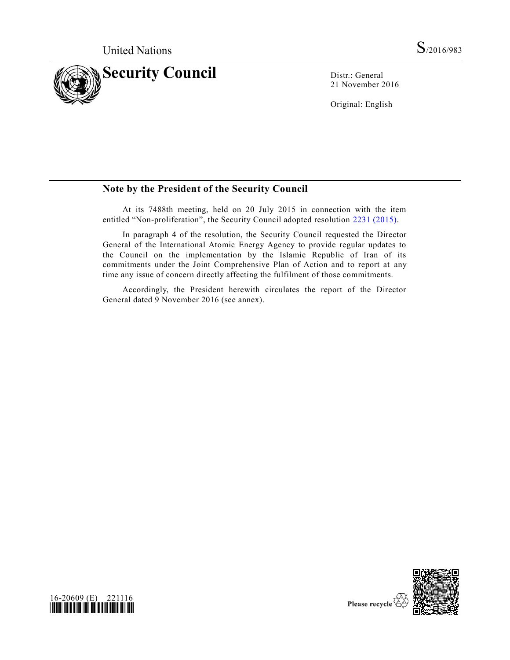

21 November 2016

Original: English

## **Note by the President of the Security Council**

At its 7488th meeting, held on 20 July 2015 in connection with the item entitled "Non-proliferation", the Security Council adopted resolution [2231 \(2015\).](http://undocs.org/S/RES/2231(2015))

In paragraph 4 of the resolution, the Security Council requested the Director General of the International Atomic Energy Agency to provide regular updates to the Council on the implementation by the Islamic Republic of Iran of its commitments under the Joint Comprehensive Plan of Action and to report at any time any issue of concern directly affecting the fulfilment of those commitments.

Accordingly, the President herewith circulates the report of the Director General dated 9 November 2016 (see annex).



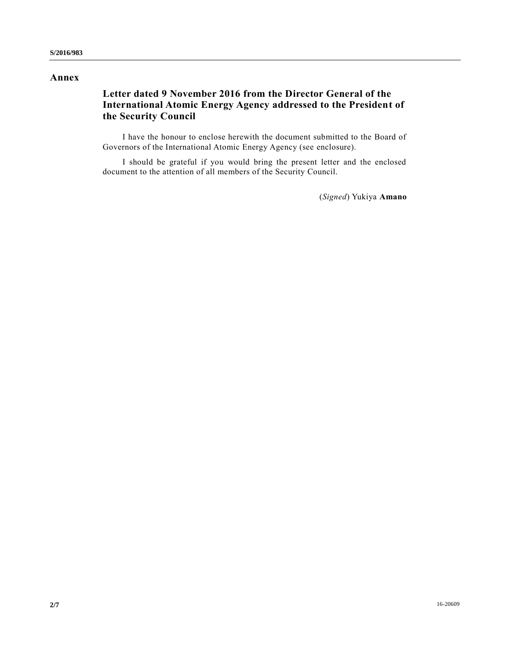### **Annex**

# **Letter dated 9 November 2016 from the Director General of the International Atomic Energy Agency addressed to the President of the Security Council**

I have the honour to enclose herewith the document submitted to the Board of Governors of the International Atomic Energy Agency (see enclosure).

I should be grateful if you would bring the present letter and the enclosed document to the attention of all members of the Security Council.

(*Signed*) Yukiya **Amano**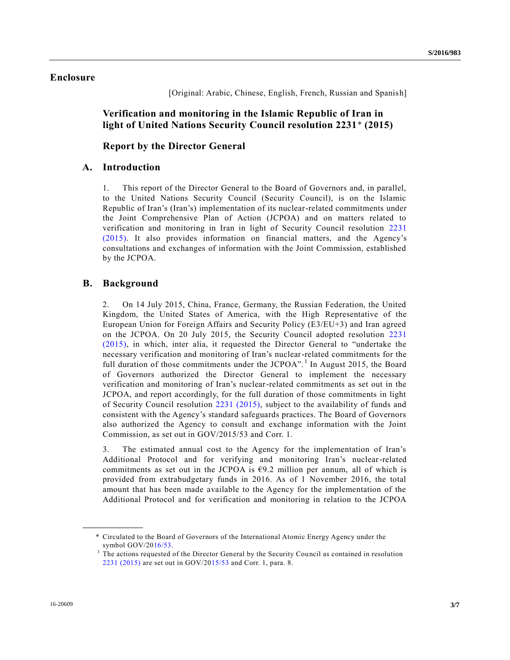### **Enclosure**

[Original: Arabic, Chinese, English, French, Russian and Spanish]

**Verification and monitoring in the Islamic Republic of Iran in light of United Nations Security Council resolution 2231**\* **(2015)**

**Report by the Director General**

#### **A. Introduction**

1. This report of the Director General to the Board of Governors and, in parallel, to the United Nations Security Council (Security Council), is on the Islamic Republic of Iran's (Iran's) implementation of its nuclear-related commitments under the Joint Comprehensive Plan of Action (JCPOA) and on matters related to verification and monitoring in Iran in light of Security Council resolution [2231](http://undocs.org/S/RES/2231(2015))  [\(2015\).](http://undocs.org/S/RES/2231(2015)) It also provides information on financial matters, and the Agency's consultations and exchanges of information with the Joint Commission, established by the JCPOA.

#### **B. Background**

**\_\_\_\_\_\_\_\_\_\_\_\_\_\_\_\_\_\_**

2. On 14 July 2015, China, France, Germany, the Russian Federation, the United Kingdom, the United States of America, with the High Representative of the European Union for Foreign Affairs and Security Policy (E3/EU+3) and Iran agreed on the JCPOA. On 20 July 2015, the Security Council adopted resolution [2231](http://undocs.org/S/RES/2231(2015))  [\(2015\),](http://undocs.org/S/RES/2231(2015)) in which, inter alia, it requested the Director General to "undertake the necessary verification and monitoring of Iran's nuclear-related commitments for the full duration of those commitments under the JCPOA".<sup>1</sup> In August 2015, the Board of Governors authorized the Director General to implement the necessary verification and monitoring of Iran's nuclear-related commitments as set out in the JCPOA, and report accordingly, for the full duration of those commitments in light of Security Council resolution [2231 \(2015\),](http://undocs.org/S/RES/2231(2015)) subject to the availability of funds and consistent with the Agency's standard safeguards practices. The Board of Governors also authorized the Agency to consult and exchange information with the Joint Commission, as set out in GOV/2015/53 and Corr. 1.

3. The estimated annual cost to the Agency for the implementation of Iran's Additional Protocol and for verifying and monitoring Iran's nuclear-related commitments as set out in the JCPOA is  $69.2$  million per annum, all of which is provided from extrabudgetary funds in 2016. As of 1 November 2016, the total amount that has been made available to the Agency for the implementation of the Additional Protocol and for verification and monitoring in relation to the JCPOA

<sup>\*</sup> Circulated to the Board of Governors of the International Atomic Energy Agency under the symbol GOV/2[016/53.](http://undocs.org/A/RES/16/53)

<sup>1</sup> The actions requested of the Director General by the Security Council as contained in resolution [2231 \(2015\)](http://undocs.org/S/RES/2231(2015)) are set out in GOV/2[015/53](http://undocs.org/A/RES/15/53) and Corr. 1, para. 8.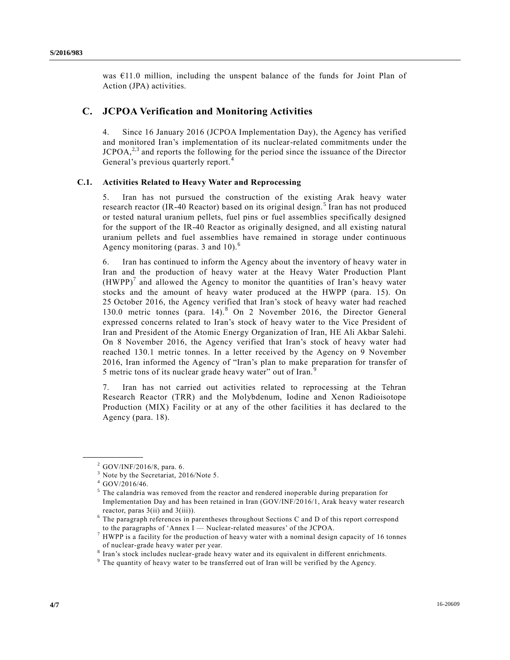was  $E11.0$  million, including the unspent balance of the funds for Joint Plan of Action (JPA) activities.

### **C. JCPOA Verification and Monitoring Activities**

4. Since 16 January 2016 (JCPOA Implementation Day), the Agency has verified and monitored Iran's implementation of its nuclear-related commitments under the  $JCPOA<sub>1</sub><sup>2,3</sup>$  and reports the following for the period since the issuance of the Director General's previous quarterly report.<sup>4</sup>

#### **C.1. Activities Related to Heavy Water and Reprocessing**

5. Iran has not pursued the construction of the existing Arak heavy water research reactor (IR-40 Reactor) based on its original design.<sup>5</sup> Iran has not produced or tested natural uranium pellets, fuel pins or fuel assemblies specifically designed for the support of the IR-40 Reactor as originally designed, and all existing natural uranium pellets and fuel assemblies have remained in storage under continuous Agency monitoring (paras. 3 and  $10$ ).<sup>6</sup>

6. Iran has continued to inform the Agency about the inventory of heavy water in Iran and the production of heavy water at the Heavy Water Production Plant  $(HWPP)^{7}$  and allowed the Agency to monitor the quantities of Iran's heavy water stocks and the amount of heavy water produced at the HWPP (para. 15). On 25 October 2016, the Agency verified that Iran's stock of heavy water had reached 130.0 metric tonnes (para. 14).<sup>8</sup> On 2 November 2016, the Director General expressed concerns related to Iran's stock of heavy water to the Vice President of Iran and President of the Atomic Energy Organization of Iran, HE Ali Akbar Salehi. On 8 November 2016, the Agency verified that Iran's stock of heavy water had reached 130.1 metric tonnes. In a letter received by the Agency on 9 November 2016, Iran informed the Agency of "Iran's plan to make preparation for transfer of 5 metric tons of its nuclear grade heavy water" out of Iran.<sup>9</sup>

7. Iran has not carried out activities related to reprocessing at the Tehran Research Reactor (TRR) and the Molybdenum, Iodine and Xenon Radioisotope Production (MIX) Facility or at any of the other facilities it has declared to the Agency (para. 18).

**\_\_\_\_\_\_\_\_\_\_\_\_\_\_\_\_\_\_**

 $^{2}$  GOV/INF/2016/8, para. 6.

<sup>&</sup>lt;sup>3</sup> Note by the Secretariat, 2016/Note 5.

<sup>4</sup> GOV/2016/46.

<sup>&</sup>lt;sup>5</sup> The calandria was removed from the reactor and rendered inoperable during preparation for Implementation Day and has been retained in Iran (GOV/INF/2016/1, Arak heavy water research reactor, paras 3(ii) and 3(iii)).

 $6$  The paragraph references in parentheses throughout Sections C and D of this report correspond to the paragraphs of 'Annex I — Nuclear-related measures' of the JCPOA.

<sup>&</sup>lt;sup>7</sup> HWPP is a facility for the production of heavy water with a nominal design capacity of 16 tonnes of nuclear-grade heavy water per year.

<sup>&</sup>lt;sup>8</sup> Iran's stock includes nuclear-grade heavy water and its equivalent in different enrichments.

 $9$  The quantity of heavy water to be transferred out of Iran will be verified by the Agency.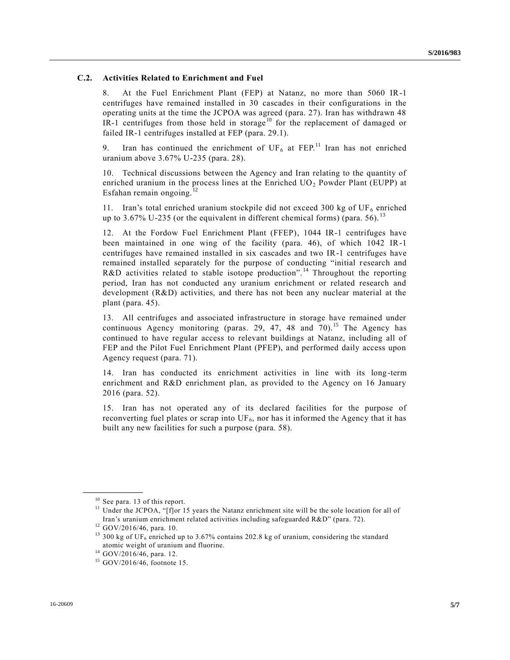#### **C.2. Activities Related to Enrichment and Fuel**

8. At the Fuel Enrichment Plant (FEP) at Natanz, no more than 5060 IR-1 centrifuges have remained installed in 30 cascades in their configurations in the operating units at the time the JCPOA was agreed (para. 27). Iran has withdrawn 48 IR-1 centrifuges from those held in storage<sup>10</sup> for the replacement of damaged or failed IR-1 centrifuges installed at FEP (para. 29.1).

9. Iran has continued the enrichment of  $UF<sub>6</sub>$  at  $FEP<sup>11</sup>$  Iran has not enriched uranium above 3.67% U-235 (para. 28).

10. Technical discussions between the Agency and Iran relating to the quantity of enriched uranium in the process lines at the Enriched  $UO<sub>2</sub>$  Powder Plant (EUPP) at Esfahan remain ongoing. $^{12}$ 

11. Iran's total enriched uranium stockpile did not exceed 300 kg of  $UF_6$  enriched up to 3.67% U-235 (or the equivalent in different chemical forms) (para. 56).  $^{13}$ 

12. At the Fordow Fuel Enrichment Plant (FFEP), 1044 IR-1 centrifuges have been maintained in one wing of the facility (para. 46), of which 1042 IR-1 centrifuges have remained installed in six cascades and two IR-1 centrifuges have remained installed separately for the purpose of conducting "initial research and R&D activities related to stable isotope production".<sup>14</sup> Throughout the reporting period, Iran has not conducted any uranium enrichment or related research and development (R&D) activities, and there has not been any nuclear material at the plant (para. 45).

13. All centrifuges and associated infrastructure in storage have remained under continuous Agency monitoring (paras. 29, 47, 48 and  $\overline{70}$ ).<sup>15</sup> The Agency has continued to have regular access to relevant buildings at Natanz, including all of FEP and the Pilot Fuel Enrichment Plant (PFEP), and performed daily access upon Agency request (para. 71).

14. Iran has conducted its enrichment activities in line with its long-term enrichment and R&D enrichment plan, as provided to the Agency on 16 January 2016 (para. 52).

15. Iran has not operated any of its declared facilities for the purpose of reconverting fuel plates or scrap into  $UF_6$ , nor has it informed the Agency that it has built any new facilities for such a purpose (para. 58).

**\_\_\_\_\_\_\_\_\_\_\_\_\_\_\_\_\_\_**

<sup>&</sup>lt;sup>10</sup> See para. 13 of this report.

<sup>&</sup>lt;sup>11</sup> Under the JCPOA, "[f]or 15 years the Natanz enrichment site will be the sole location for all of Iran's uranium enrichment related activities including safeguarded R&D" (para. 72).

<sup>&</sup>lt;sup>12</sup> GOV/2016/46, para. 10.

<sup>&</sup>lt;sup>13</sup> 300 kg of UF<sub>6</sub> enriched up to 3.67% contains 202.8 kg of uranium, considering the standard atomic weight of uranium and fluorine.

<sup>14</sup> GOV/2016/46, para. 12.

<sup>15</sup> GOV/2016/46, footnote 15.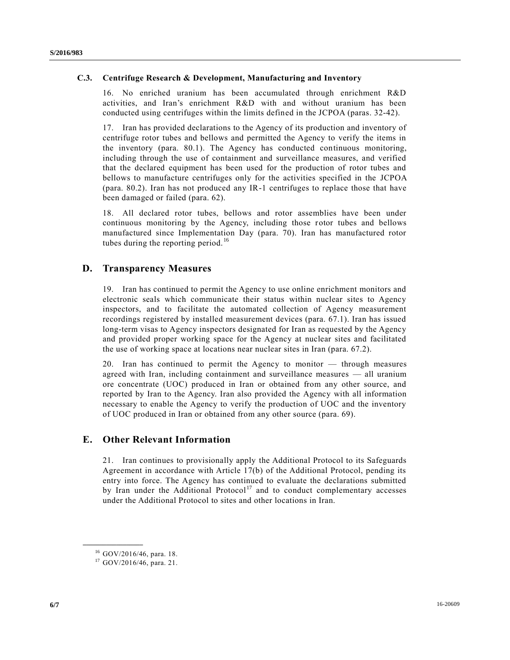#### **C.3. Centrifuge Research & Development, Manufacturing and Inventory**

16. No enriched uranium has been accumulated through enrichment R&D activities, and Iran's enrichment R&D with and without uranium has been conducted using centrifuges within the limits defined in the JCPOA (paras. 32-42).

17. Iran has provided declarations to the Agency of its production and inventory of centrifuge rotor tubes and bellows and permitted the Agency to verify the items in the inventory (para. 80.1). The Agency has conducted continuous monitoring, including through the use of containment and surveillance measures, and verified that the declared equipment has been used for the production of rotor tubes and bellows to manufacture centrifuges only for the activities specified in the JCPOA (para. 80.2). Iran has not produced any IR-1 centrifuges to replace those that have been damaged or failed (para. 62).

18. All declared rotor tubes, bellows and rotor assemblies have been under continuous monitoring by the Agency, including those rotor tubes and bellows manufactured since Implementation Day (para. 70). Iran has manufactured rotor tubes during the reporting period. $16$ 

## **D. Transparency Measures**

19. Iran has continued to permit the Agency to use online enrichment monitors and electronic seals which communicate their status within nuclear sites to Agency inspectors, and to facilitate the automated collection of Agency measurement recordings registered by installed measurement devices (para. 67.1). Iran has issued long-term visas to Agency inspectors designated for Iran as requested by the Agency and provided proper working space for the Agency at nuclear sites and facilitated the use of working space at locations near nuclear sites in Iran (para. 67.2).

20. Iran has continued to permit the Agency to monitor — through measures agreed with Iran, including containment and surveillance measures — all uranium ore concentrate (UOC) produced in Iran or obtained from any other source, and reported by Iran to the Agency. Iran also provided the Agency with all information necessary to enable the Agency to verify the production of UOC and the inventory of UOC produced in Iran or obtained from any other source (para. 69).

### **E. Other Relevant Information**

21. Iran continues to provisionally apply the Additional Protocol to its Safeguards Agreement in accordance with Article 17(b) of the Additional Protocol, pending its entry into force. The Agency has continued to evaluate the declarations submitted by Iran under the Additional Protocol<sup>17</sup> and to conduct complementary accesses under the Additional Protocol to sites and other locations in Iran.

**\_\_\_\_\_\_\_\_\_\_\_\_\_\_\_\_\_\_**

<sup>16</sup> GOV/2016/46, para. 18.

<sup>17</sup> GOV/2016/46, para. 21.